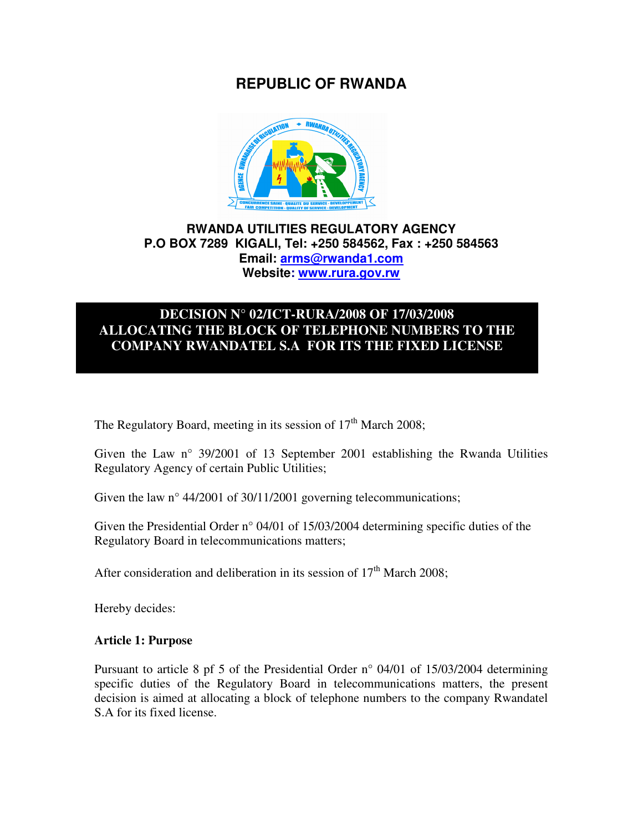# **REPUBLIC OF RWANDA**



## **RWANDA UTILITIES REGULATORY AGENCY P.O BOX 7289 KIGALI, Tel: +250 584562, Fax : +250 584563 Email: arms@rwanda1.com Website: www.rura.gov.rw**

# **DECISION N° 02/ICT-RURA/2008 OF 17/03/2008 ALLOCATING THE BLOCK OF TELEPHONE NUMBERS TO THE COMPANY RWANDATEL S.A FOR ITS THE FIXED LICENSE**

The Regulatory Board, meeting in its session of  $17<sup>th</sup>$  March 2008;

Given the Law n° 39/2001 of 13 September 2001 establishing the Rwanda Utilities Regulatory Agency of certain Public Utilities;

Given the law n° 44/2001 of 30/11/2001 governing telecommunications;

Given the Presidential Order n° 04/01 of 15/03/2004 determining specific duties of the Regulatory Board in telecommunications matters;

After consideration and deliberation in its session of  $17<sup>th</sup>$  March 2008:

Hereby decides:

#### **Article 1: Purpose**

Pursuant to article 8 pf 5 of the Presidential Order n° 04/01 of 15/03/2004 determining specific duties of the Regulatory Board in telecommunications matters, the present decision is aimed at allocating a block of telephone numbers to the company Rwandatel S.A for its fixed license.